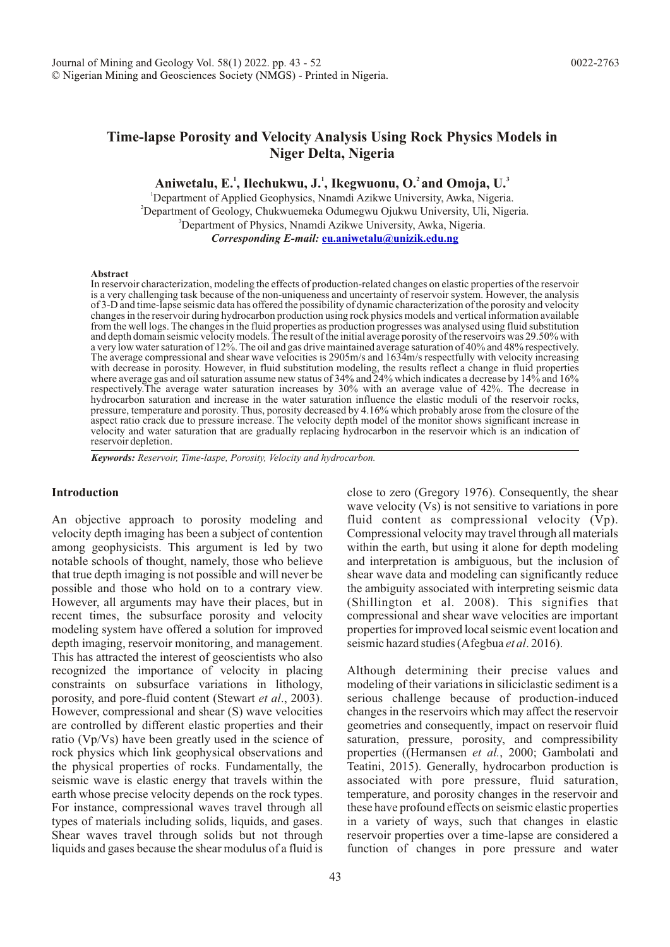# **Time-lapse Porosity and Velocity Analysis Using Rock Physics Models in Niger Delta, Nigeria**

Aniwetalu, E.<sup>1</sup>, Ilechukwu, J.<sup>1</sup>, Ikegwuonu, O.<sup>2</sup> and Omoja, U.<sup>3</sup>

<sup>1</sup>Department of Applied Geophysics, Nnamdi Azikwe University, Awka, Nigeria. <sup>2</sup>Department of Geology, Chukwuemeka Odumegwu Ojukwu University, Uli, Nigeria. <sup>3</sup>Department of Physics, Nnamdi Azikwe University, Awka, Nigeria. *Corresponding E-mail:* **[eu.aniwetalu@unizik.edu.ng](mailto:eu.aniwetalu@unizik.edu.ng)**

#### **Abstract**

In reservoir characterization, modeling the effects of production-related changes on elastic properties of the reservoir is a very challenging task because of the non-uniqueness and uncertainty of reservoir system. However, the analysis of 3-D and time-lapse seismic data has offered the possibility of dynamic characterization of the porosity and velocity changes in the reservoir during hydrocarbon production using rock physics models and vertical information available from the well logs. The changes in the fluid properties as production progresses was analysed using fluid substitution and depth domain seismic velocity models. The result of the initial average porosity of the reservoirs was 29.50% with a very low water saturation of 12%. The oil and gas drive maintained average saturation of 40% and 48% respectively. The average compressional and shear wave velocities is 2905m/s and 1634m/s respectfully with velocity increasing with decrease in porosity. However, in fluid substitution modeling, the results reflect a change in fluid properties where average gas and oil saturation assume new status of 34% and 24% which indicates a decrease by 14% and 16% respectively.The average water saturation increases by 30% with an average value of 42%. The decrease in hydrocarbon saturation and increase in the water saturation influence the elastic moduli of the reservoir rocks, pressure, temperature and porosity. Thus, porosity decreased by 4.16% which probably arose from the closure of the aspect ratio crack due to pressure increase. The velocity depth model of the monitor shows significant increase in velocity and water saturation that are gradually replacing hydrocarbon in the reservoir which is an indication of reservoir depletion.

*Keywords: Reservoir, Time-laspe, Porosity, Velocity and hydrocarbon.*

# **Introduction**

An objective approach to porosity modeling and velocity depth imaging has been a subject of contention among geophysicists. This argument is led by two notable schools of thought, namely, those who believe that true depth imaging is not possible and will never be possible and those who hold on to a contrary view. However, all arguments may have their places, but in recent times, the subsurface porosity and velocity modeling system have offered a solution for improved depth imaging, reservoir monitoring, and management. This has attracted the interest of geoscientists who also recognized the importance of velocity in placing constraints on subsurface variations in lithology, porosity, and pore-fluid content (Stewart *et al*., 2003). However, compressional and shear (S) wave velocities are controlled by different elastic properties and their ratio (Vp/Vs) have been greatly used in the science of rock physics which link geophysical observations and the physical properties of rocks. Fundamentally, the seismic wave is elastic energy that travels within the earth whose precise velocity depends on the rock types. For instance, compressional waves travel through all types of materials including solids, liquids, and gases. Shear waves travel through solids but not through liquids and gases because the shear modulus of a fluid is

close to zero (Gregory 1976). Consequently, the shear wave velocity (Vs) is not sensitive to variations in pore fluid content as compressional velocity (Vp). Compressional velocity may travel through all materials within the earth, but using it alone for depth modeling and interpretation is ambiguous, but the inclusion of shear wave data and modeling can significantly reduce the ambiguity associated with interpreting seismic data (Shillington et al. 2008). This signifies that compressional and shear wave velocities are important properties for improved local seismic event location and seismic hazard studies (Afegbua *et al*. 2016).

Although determining their precise values and modeling of their variations in siliciclastic sediment is a serious challenge because of production-induced changes in the reservoirs which may affect the reservoir geometries and consequently, impact on reservoir fluid saturation, pressure, porosity, and compressibility properties ((Hermansen *et al.*, 2000; Gambolati and Teatini, 2015). Generally, hydrocarbon production is associated with pore pressure, fluid saturation, temperature, and porosity changes in the reservoir and these have profound effects on seismic elastic properties in a variety of ways, such that changes in elastic reservoir properties over a time-lapse are considered a function of changes in pore pressure and water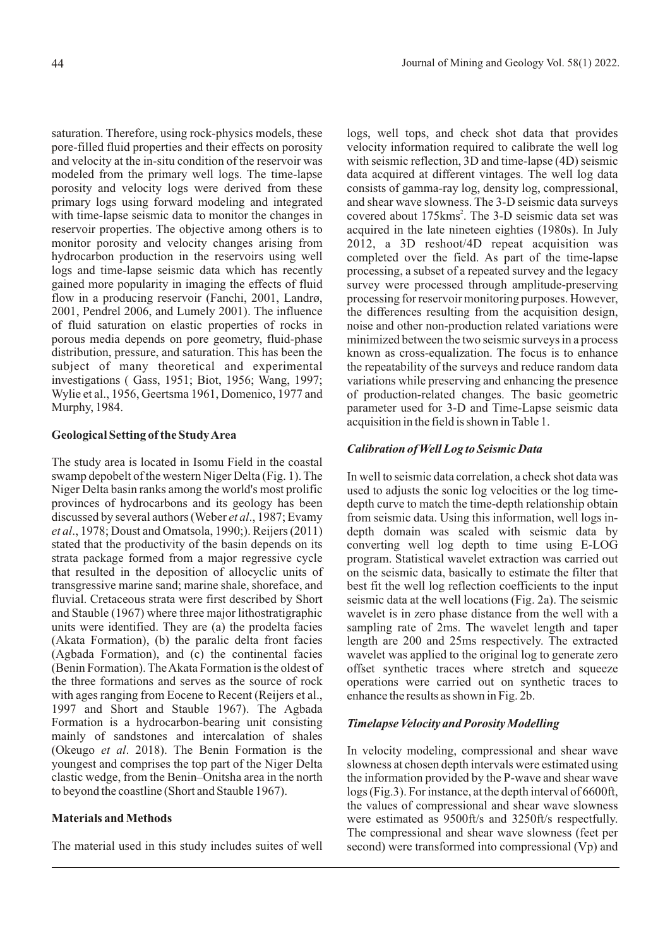saturation. Therefore, using rock-physics models, these pore-filled fluid properties and their effects on porosity and velocity at the in-situ condition of the reservoir was modeled from the primary well logs. The time-lapse porosity and velocity logs were derived from these primary logs using forward modeling and integrated with time-lapse seismic data to monitor the changes in reservoir properties. The objective among others is to monitor porosity and velocity changes arising from hydrocarbon production in the reservoirs using well logs and time-lapse seismic data which has recently gained more popularity in imaging the effects of fluid flow in a producing reservoir (Fanchi, 2001, Landrø, 2001, Pendrel 2006, and Lumely 2001). The influence of fluid saturation on elastic properties of rocks in porous media depends on pore geometry, fluid-phase distribution, pressure, and saturation. This has been the subject of many theoretical and experimental investigations ( Gass, 1951; Biot, 1956; Wang, 1997; Wylie et al., 1956, Geertsma 1961, Domenico, 1977 and Murphy, 1984.

# **Geological Setting of the Study Area**

The study area is located in Isomu Field in the coastal swamp depobelt of the western Niger Delta (Fig. 1). The Niger Delta basin ranks among the world's most prolific provinces of hydrocarbons and its geology has been discussed by several authors (Weber *et al*., 1987; Evamy *et al*., 1978; Doust and Omatsola, 1990;). Reijers (2011) stated that the productivity of the basin depends on its strata package formed from a major regressive cycle that resulted in the deposition of allocyclic units of transgressive marine sand; marine shale, shoreface, and fluvial. Cretaceous strata were first described by Short and Stauble (1967) where three major lithostratigraphic units were identified. They are (a) the prodelta facies (Akata Formation), (b) the paralic delta front facies (Agbada Formation), and (c) the continental facies (Benin Formation). The Akata Formation is the oldest of the three formations and serves as the source of rock with ages ranging from Eocene to Recent (Reijers et al., 1997 and Short and Stauble 1967). The Agbada Formation is a hydrocarbon-bearing unit consisting mainly of sandstones and intercalation of shales (Okeugo *et al*. 2018). The Benin Formation is the youngest and comprises the top part of the Niger Delta clastic wedge, from the Benin–Onitsha area in the north to beyond the coastline (Short and Stauble 1967).

# **Materials and Methods**

The material used in this study includes suites of well

logs, well tops, and check shot data that provides velocity information required to calibrate the well log with seismic reflection, 3D and time-lapse (4D) seismic data acquired at different vintages. The well log data consists of gamma-ray log, density log, compressional, and shear wave slowness. The 3-D seismic data surveys covered about 175kms<sup>2</sup>. The 3-D seismic data set was acquired in the late nineteen eighties (1980s). In July 2012, a 3D reshoot/4D repeat acquisition was completed over the field. As part of the time-lapse processing, a subset of a repeated survey and the legacy survey were processed through amplitude-preserving processing for reservoir monitoring purposes. However, the differences resulting from the acquisition design, noise and other non-production related variations were minimized between the two seismic surveys in a process known as cross-equalization. The focus is to enhance the repeatability of the surveys and reduce random data variations while preserving and enhancing the presence of production-related changes. The basic geometric parameter used for 3-D and Time-Lapse seismic data acquisition in the field is shown in Table 1.

# *Calibration of Well Log to Seismic Data*

In well to seismic data correlation, a check shot data was used to adjusts the sonic log velocities or the log timedepth curve to match the time-depth relationship obtain from seismic data. Using this information, well logs indepth domain was scaled with seismic data by converting well log depth to time using E-LOG program. Statistical wavelet extraction was carried out on the seismic data, basically to estimate the filter that best fit the well log reflection coefficients to the input seismic data at the well locations (Fig. 2a). The seismic wavelet is in zero phase distance from the well with a sampling rate of 2ms. The wavelet length and taper length are 200 and 25ms respectively. The extracted wavelet was applied to the original log to generate zero offset synthetic traces where stretch and squeeze operations were carried out on synthetic traces to enhance the results as shown in Fig. 2b.

### *Timelapse Velocity and Porosity Modelling*

In velocity modeling, compressional and shear wave slowness at chosen depth intervals were estimated using the information provided by the P-wave and shear wave logs (Fig.3). For instance, at the depth interval of 6600ft, the values of compressional and shear wave slowness were estimated as 9500ft/s and 3250ft/s respectfully. The compressional and shear wave slowness (feet per second) were transformed into compressional (Vp) and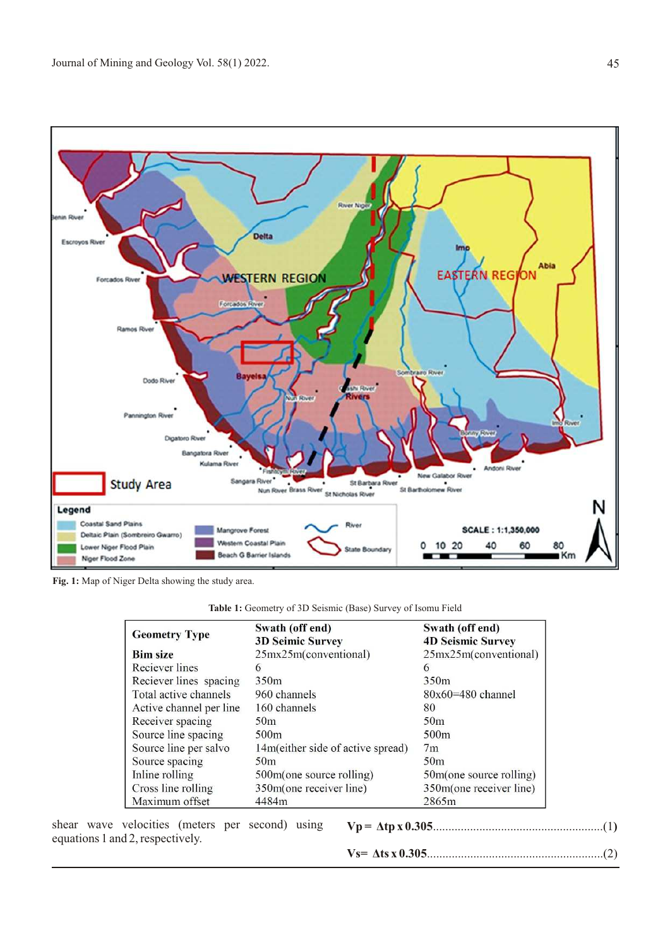

**Fig. 1:** Map of Niger Delta showing the study area.

| <b>Table 1:</b> Geometry of 3D Seismic (Base) Survey of Isomu Field |  |  |
|---------------------------------------------------------------------|--|--|
|---------------------------------------------------------------------|--|--|

| <b>Geometry Type</b>    | Swath (off end)                    | Swath (off end)<br><b>4D Seismic Survey</b> |  |
|-------------------------|------------------------------------|---------------------------------------------|--|
|                         | <b>3D Seimic Survey</b>            |                                             |  |
| <b>Bim size</b>         | 25mx25m(conventional)              | 25mx25m(conventional)                       |  |
| Reciever lines          | 6                                  | $\sigma$                                    |  |
| Reciever lines spacing  | 350 <sub>m</sub>                   | 350 <sub>m</sub>                            |  |
| Total active channels   | 960 channels                       | $80x60=480$ channel                         |  |
| Active channel per line | 160 channels                       | 80                                          |  |
| Receiver spacing        | 50 <sub>m</sub>                    | 50 <sub>m</sub>                             |  |
| Source line spacing     | 500 <sub>m</sub>                   | 500m                                        |  |
| Source line per salvo   | 14m (either side of active spread) | 7 <sub>m</sub>                              |  |
| Source spacing          | 50 <sub>m</sub>                    | 50 <sub>m</sub>                             |  |
| Inline rolling          | 500m(one source rolling)           | 50m(one source rolling)                     |  |
| Cross line rolling      | 350m(one receiver line)            | 350m(one receiver line)                     |  |
| Maximum offset          | 4484m                              | 2865m                                       |  |

shear wave velocities (meters per second) using equations 1 and 2, respectively.

|--|--|--|

**Vs= Äts x 0.305**.........................................................(2)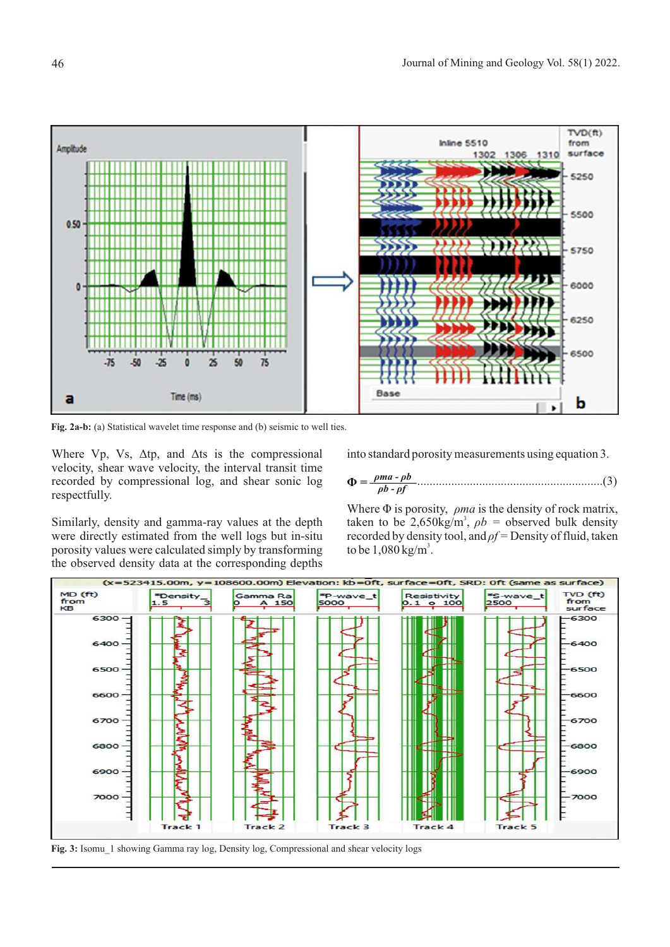

Fig. 2a-b: (a) Statistical wavelet time response and (b) seismic to well ties.

Where Vp, Vs,  $\Delta tp$ , and  $\Delta ts$  is the compressional velocity, shear wave velocity, the interval transit time recorded by compressional log, and shear sonic log respectfully.

into standard porosity measurements using equation 3.

 ............................................................(3) **Ö =** *<sup>ñ</sup>ma - ñ<sup>b</sup> ñb - ñf* 

Similarly, density and gamma-ray values at the depth were directly estimated from the well logs but in-situ porosity values were calculated simply by transforming the observed density data at the corresponding depths Where  $\Phi$  is porosity,  $\rho$ *ma* is the density of rock matrix, taken to be 2,650kg/m<sup>3</sup>,  $\rho b$  = observed bulk density recorded by density tool, and  $\rho f$  = Density of fluid, taken to be  $1,080 \text{ kg/m}^3$ .



Fig. 3: Isomu 1 showing Gamma ray log, Density log, Compressional and shear velocity logs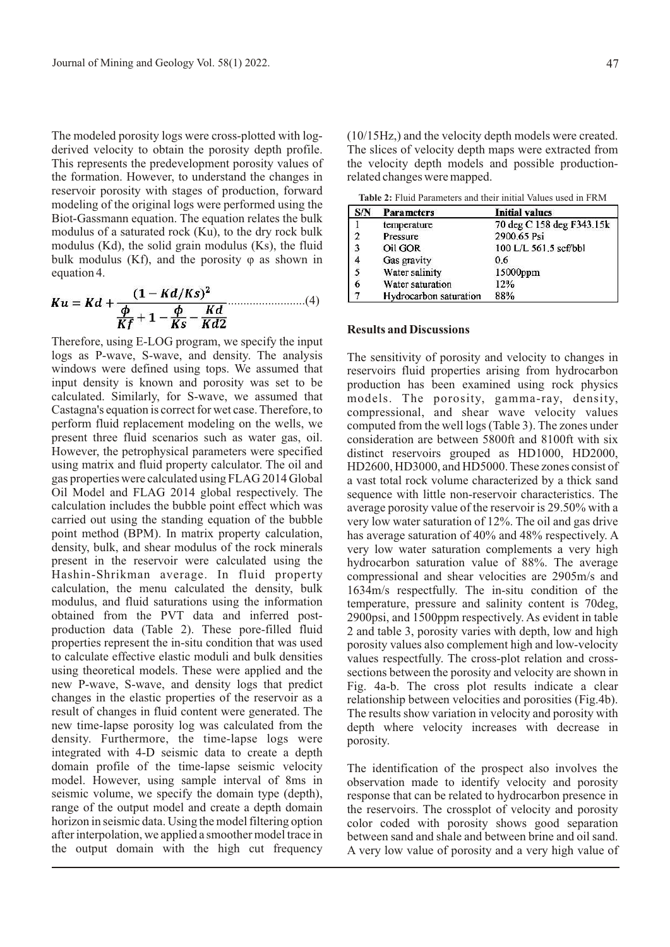The modeled porosity logs were cross-plotted with logderived velocity to obtain the porosity depth profile. This represents the predevelopment porosity values of the formation. However, to understand the changes in reservoir porosity with stages of production, forward modeling of the original logs were performed using the Biot-Gassmann equation. The equation relates the bulk modulus of a saturated rock (Ku), to the dry rock bulk modulus (Kd), the solid grain modulus (Ks), the fluid bulk modulus (Kf), and the porosity  $\varphi$  as shown in equation 4.

$$
Ku = Kd + \frac{(1 - Kd/Ks)^{2}}{\frac{\phi}{Kf} + 1 - \frac{\phi}{Ks} - \frac{Kd}{Kd2}} \dots \dots \dots \dots (4)
$$

Therefore, using E-LOG program, we specify the input logs as P-wave, S-wave, and density. The analysis windows were defined using tops. We assumed that input density is known and porosity was set to be calculated. Similarly, for S-wave, we assumed that Castagna's equation is correct for wet case. Therefore, to perform fluid replacement modeling on the wells, we present three fluid scenarios such as water gas, oil. However, the petrophysical parameters were specified using matrix and fluid property calculator. The oil and gas properties were calculated using FLAG 2014 Global Oil Model and FLAG 2014 global respectively. The calculation includes the bubble point effect which was carried out using the standing equation of the bubble point method (BPM). In matrix property calculation, density, bulk, and shear modulus of the rock minerals present in the reservoir were calculated using the Hashin-Shrikman average. In fluid property calculation, the menu calculated the density, bulk modulus, and fluid saturations using the information obtained from the PVT data and inferred postproduction data (Table 2). These pore-filled fluid properties represent the in-situ condition that was used to calculate effective elastic moduli and bulk densities using theoretical models. These were applied and the new P-wave, S-wave, and density logs that predict changes in the elastic properties of the reservoir as a result of changes in fluid content were generated. The new time-lapse porosity log was calculated from the density. Furthermore, the time-lapse logs were integrated with 4-D seismic data to create a depth domain profile of the time-lapse seismic velocity model. However, using sample interval of 8ms in seismic volume, we specify the domain type (depth), range of the output model and create a depth domain horizon in seismic data. Using the model filtering option after interpolation, we applied a smoother model trace in the output domain with the high cut frequency (10/15Hz,) and the velocity depth models were created. The slices of velocity depth maps were extracted from the velocity depth models and possible productionrelated changes were mapped.

**Table 2:** Fluid Parameters and their initial Values used in FRM

| S/N            | <b>Parameters</b>      | <b>Initial values</b>     |  |  |
|----------------|------------------------|---------------------------|--|--|
|                | temperature            | 70 deg C 158 deg F343.15k |  |  |
| $\overline{2}$ | Pressure               | 2900.65 Psi               |  |  |
| 3              | Oil GOR                | 100 L/L 561.5 scf/bbl     |  |  |
| $\overline{4}$ | Gas gravity            | 0.6                       |  |  |
|                | Water salinity         | 15000ppm                  |  |  |
| 6              | Water saturation       | 12%                       |  |  |
| 7              | Hydrocarbon saturation | 88%                       |  |  |

### **Results and Discussions**

The sensitivity of porosity and velocity to changes in reservoirs fluid properties arising from hydrocarbon production has been examined using rock physics models. The porosity, gamma-ray, density, compressional, and shear wave velocity values computed from the well logs (Table 3). The zones under consideration are between 5800ft and 8100ft with six distinct reservoirs grouped as HD1000, HD2000, HD2600, HD3000, and HD5000. These zones consist of a vast total rock volume characterized by a thick sand sequence with little non-reservoir characteristics. The average porosity value of the reservoir is 29.50% with a very low water saturation of 12%. The oil and gas drive has average saturation of 40% and 48% respectively. A very low water saturation complements a very high hydrocarbon saturation value of 88%. The average compressional and shear velocities are 2905m/s and 1634m/s respectfully. The in-situ condition of the temperature, pressure and salinity content is 70deg, 2900psi, and 1500ppm respectively. As evident in table 2 and table 3, porosity varies with depth, low and high porosity values also complement high and low-velocity values respectfully. The cross-plot relation and crosssections between the porosity and velocity are shown in Fig. 4a-b. The cross plot results indicate a clear relationship between velocities and porosities (Fig.4b). The results show variation in velocity and porosity with depth where velocity increases with decrease in porosity.

The identification of the prospect also involves the observation made to identify velocity and porosity response that can be related to hydrocarbon presence in the reservoirs. The crossplot of velocity and porosity color coded with porosity shows good separation between sand and shale and between brine and oil sand. A very low value of porosity and a very high value of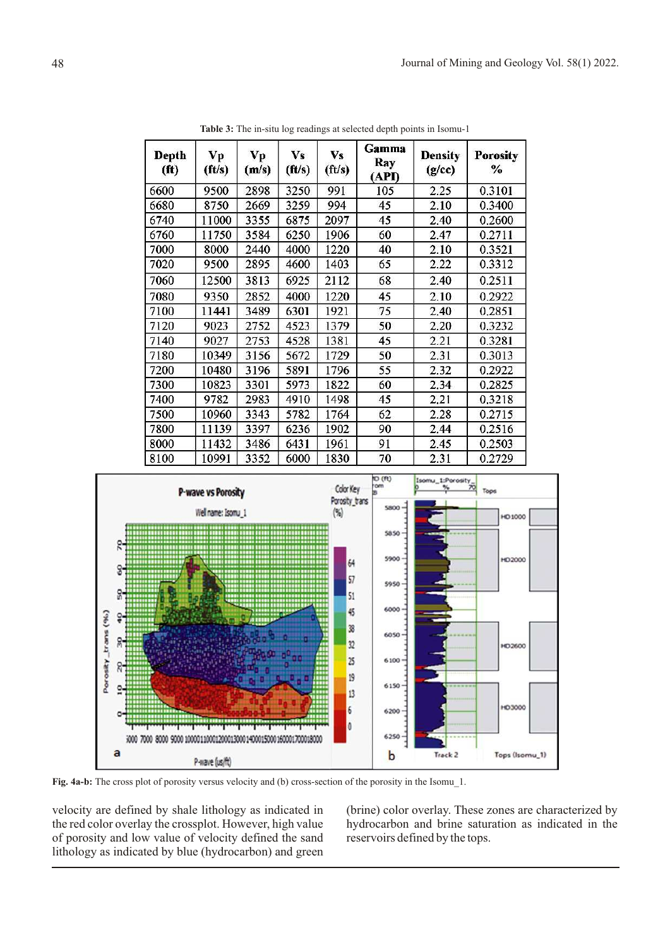| <b>Depth</b><br>(f <sup>t</sup> ) | Vp<br>$({\bf ft/s})$ | Vp<br>(m/s) | <b>Vs</b><br>(ft/s) | <b>Vs</b><br>$({\rm ft/s})$ | Gamma<br>Ray<br>(API) | <b>Density</b><br>(g/cc) | <b>Porosity</b><br>% |
|-----------------------------------|----------------------|-------------|---------------------|-----------------------------|-----------------------|--------------------------|----------------------|
| 6600                              | 9500                 | 2898        | 3250                | 991                         | 105                   | 2.25                     | 0.3101               |
| 6680                              | 8750                 | 2669        | 3259                | 994                         | 45                    | 2.10                     | 0.3400               |
| 6740                              | 11000                | 3355        | 6875                | 2097                        | 45                    | 2.40                     | 0.2600               |
| 6760                              | 11750                | 3584        | 6250                | 1906                        | 60                    | 2.47                     | 0.2711               |
| 7000                              | 8000                 | 2440        | 4000                | 1220                        | 40                    | 2.10                     | 0.3521               |
| 7020                              | 9500                 | 2895        | 4600                | 1403                        | 65                    | 2.22                     | 0.3312               |
| 7060                              | 12500                | 3813        | 6925                | 2112                        | 68                    | 2.40                     | 0.2511               |
| 7080                              | 9350                 | 2852        | 4000                | 1220                        | 45                    | 2.10                     | 0.2922               |
| 7100                              | 11441                | 3489        | 6301                | 1921                        | 75                    | 2.40                     | 0.2851               |
| 7120                              | 9023                 | 2752        | 4523                | 1379                        | 50                    | 2.20                     | 0,3232               |
| 7140                              | 9027                 | 2753        | 4528                | 1381                        | 45                    | 2.21                     | 0.3281               |
| 7180                              | 10349                | 3156        | 5672                | 1729                        | 50                    | 2.31                     | 0.3013               |
| 7200                              | 10480                | 3196        | 5891                | 1796                        | 55                    | 2.32                     | 0.2922               |
| 7300                              | 10823                | 3301        | 5973                | 1822                        | 60                    | 2.34                     | 0.2825               |
| 7400                              | 9782                 | 2983        | 4910                | 1498                        | 45                    | 2.21                     | 0.3218               |
| 7500                              | 10960                | 3343        | 5782                | 1764                        | 62                    | 2.28                     | 0.2715               |
| 7800                              | 11139                | 3397        | 6236                | 1902                        | 90                    | 2.44                     | 0.2516               |
| 8000                              | 11432                | 3486        | 6431                | 1961                        | 91                    | 2.45                     | 0.2503               |
| 8100                              | 10991                | 3352        | 6000                | 1830                        | 70                    | 2.31                     | 0.2729               |

**Table 3:** The in-situ log readings at selected depth points in Isomu-1



**Fig. 4a-b:** The cross plot of porosity versus velocity and (b) cross-section of the porosity in the Isomu<sup>1</sup>.

velocity are defined by shale lithology as indicated in the red color overlay the crossplot. However, high value of porosity and low value of velocity defined the sand lithology as indicated by blue (hydrocarbon) and green

(brine) color overlay. These zones are characterized by hydrocarbon and brine saturation as indicated in the reservoirs defined by the tops.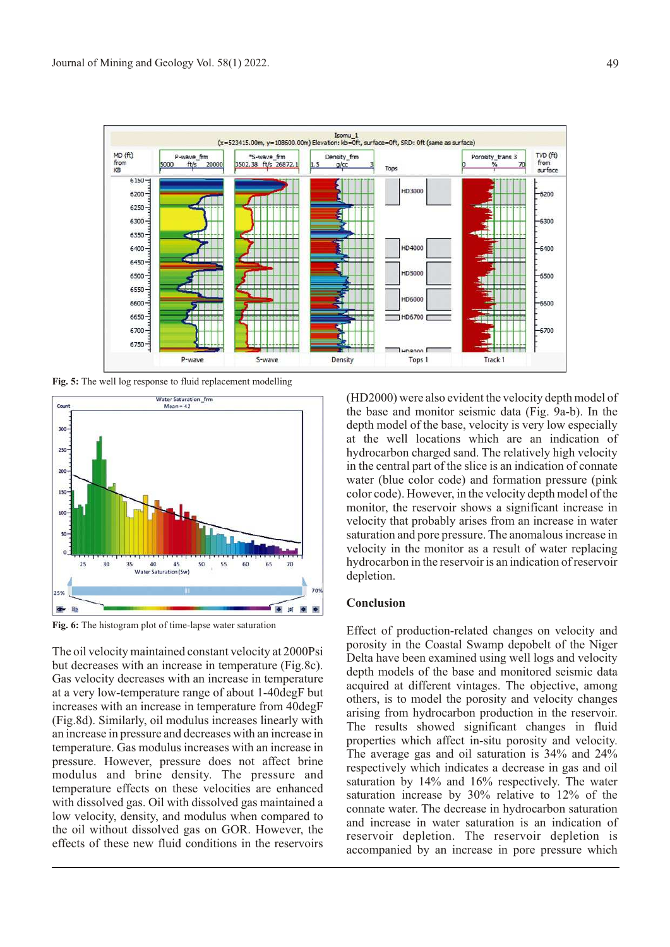

**Fig. 5:** The well log response to fluid replacement modelling



**Fig. 6:** The histogram plot of time-lapse water saturation

The oil velocity maintained constant velocity at 2000Psi but decreases with an increase in temperature (Fig.8c). Gas velocity decreases with an increase in temperature at a very low-temperature range of about 1-40degF but increases with an increase in temperature from 40degF (Fig.8d). Similarly, oil modulus increases linearly with an increase in pressure and decreases with an increase in temperature. Gas modulus increases with an increase in pressure. However, pressure does not affect brine modulus and brine density. The pressure and temperature effects on these velocities are enhanced with dissolved gas. Oil with dissolved gas maintained a low velocity, density, and modulus when compared to the oil without dissolved gas on GOR. However, the effects of these new fluid conditions in the reservoirs (HD2000) were also evident the velocity depth model of the base and monitor seismic data (Fig. 9a-b). In the depth model of the base, velocity is very low especially at the well locations which are an indication of hydrocarbon charged sand. The relatively high velocity in the central part of the slice is an indication of connate water (blue color code) and formation pressure (pink color code). However, in the velocity depth model of the monitor, the reservoir shows a significant increase in velocity that probably arises from an increase in water saturation and pore pressure. The anomalous increase in velocity in the monitor as a result of water replacing hydrocarbon in the reservoir is an indication of reservoir depletion.

### **Conclusion**

Effect of production-related changes on velocity and porosity in the Coastal Swamp depobelt of the Niger Delta have been examined using well logs and velocity depth models of the base and monitored seismic data acquired at different vintages. The objective, among others, is to model the porosity and velocity changes arising from hydrocarbon production in the reservoir. The results showed significant changes in fluid properties which affect in-situ porosity and velocity. The average gas and oil saturation is 34% and 24% respectively which indicates a decrease in gas and oil saturation by 14% and 16% respectively. The water saturation increase by 30% relative to 12% of the connate water. The decrease in hydrocarbon saturation and increase in water saturation is an indication of reservoir depletion. The reservoir depletion is accompanied by an increase in pore pressure which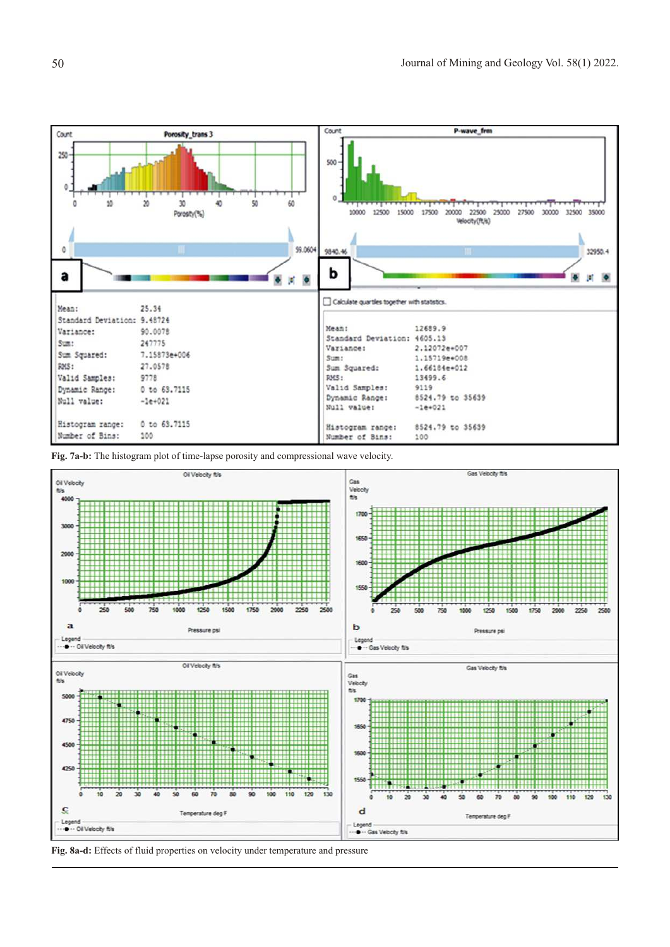

**Fig. 7a-b:** The histogram plot of time-lapse porosity and compressional wave velocity.



**Fig. 8a-d:** Effects of fluid properties on velocity under temperature and pressure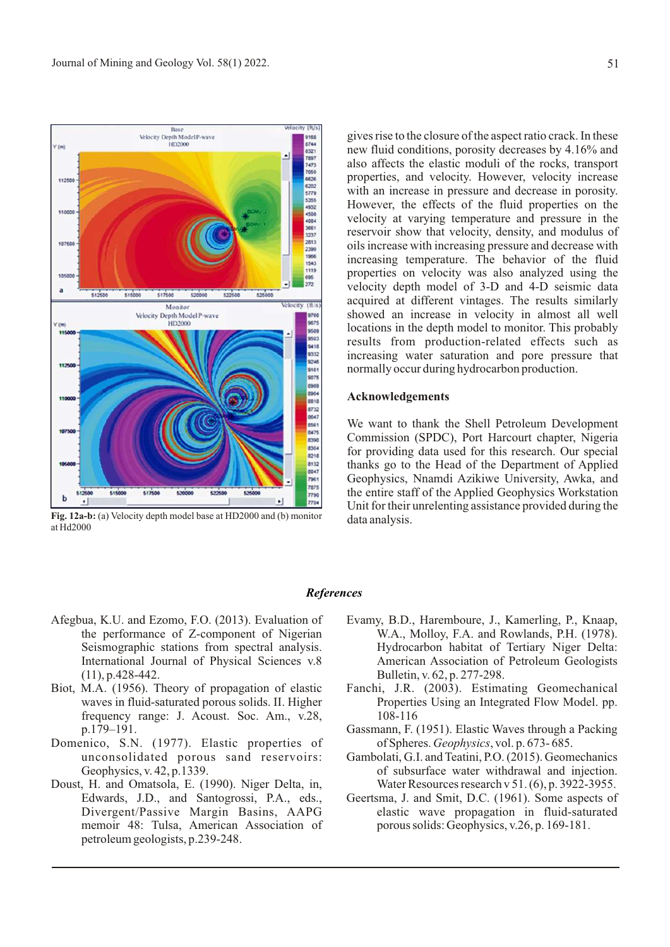

**Fig. 12a-b:** (a) Velocity depth model base at HD2000 and (b) monitor at Hd2000

gives rise to the closure of the aspect ratio crack. In these new fluid conditions, porosity decreases by 4.16% and also affects the elastic moduli of the rocks, transport properties, and velocity. However, velocity increase with an increase in pressure and decrease in porosity. However, the effects of the fluid properties on the velocity at varying temperature and pressure in the reservoir show that velocity, density, and modulus of oils increase with increasing pressure and decrease with increasing temperature. The behavior of the fluid properties on velocity was also analyzed using the velocity depth model of 3-D and 4-D seismic data acquired at different vintages. The results similarly showed an increase in velocity in almost all well locations in the depth model to monitor. This probably results from production-related effects such as increasing water saturation and pore pressure that normally occur during hydrocarbon production.

#### **Acknowledgements**

We want to thank the Shell Petroleum Development Commission (SPDC), Port Harcourt chapter, Nigeria for providing data used for this research. Our special thanks go to the Head of the Department of Applied Geophysics, Nnamdi Azikiwe University, Awka, and the entire staff of the Applied Geophysics Workstation Unit for their unrelenting assistance provided during the data analysis.

#### *References*

- Afegbua, K.U. and Ezomo, F.O. (2013). Evaluation of the performance of Z-component of Nigerian Seismographic stations from spectral analysis. International Journal of Physical Sciences v.8 (11), p.428-442.
- Biot, M.A. (1956). Theory of propagation of elastic waves in fluid-saturated porous solids. II. Higher frequency range: J. Acoust. Soc. Am., v.28, p.179–191.
- Domenico, S.N. (1977). Elastic properties of unconsolidated porous sand reservoirs: Geophysics, v. 42, p.1339.
- Doust, H. and Omatsola, E. (1990). Niger Delta, in, Edwards, J.D., and Santogrossi, P.A., eds., Divergent/Passive Margin Basins, AAPG memoir 48: Tulsa, American Association of petroleum geologists, p.239-248.
- Evamy, B.D., Haremboure, J., Kamerling, P., Knaap, W.A., Molloy, F.A. and Rowlands, P.H. (1978). Hydrocarbon habitat of Tertiary Niger Delta: American Association of Petroleum Geologists Bulletin, v. 62, p. 277-298.
- Fanchi, J.R. (2003). Estimating Geomechanical Properties Using an Integrated Flow Model. pp. 108-116
- Gassmann, F. (1951). Elastic Waves through a Packing of Spheres. *Geophysics*, vol. p. 673- 685.
- Gambolati, G.I. and Teatini, P.O. (2015). Geomechanics of subsurface water withdrawal and injection. Water Resources research v 51. (6), p. 3922-3955.
- Geertsma, J. and Smit, D.C. (1961). Some aspects of elastic wave propagation in fluid-saturated porous solids: Geophysics, v.26, p. 169-181.